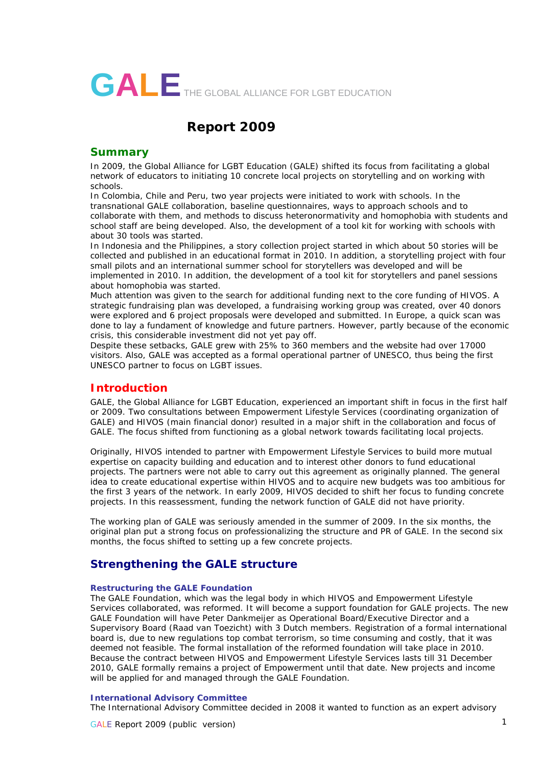

# **Report 2009**

### **Summary**

In 2009, the Global Alliance for LGBT Education (GALE) shifted its focus from facilitating a global network of educators to initiating 10 concrete local projects on storytelling and on working with schools.

In Colombia, Chile and Peru, two year projects were initiated to work with schools. In the transnational GALE collaboration, baseline questionnaires, ways to approach schools and to collaborate with them, and methods to discuss heteronormativity and homophobia with students and school staff are being developed. Also, the development of a tool kit for working with schools with about 30 tools was started.

In Indonesia and the Philippines, a story collection project started in which about 50 stories will be collected and published in an educational format in 2010. In addition, a storytelling project with four small pilots and an international summer school for storytellers was developed and will be implemented in 2010. In addition, the development of a tool kit for storytellers and panel sessions about homophobia was started.

Much attention was given to the search for additional funding next to the core funding of HIVOS. A strategic fundraising plan was developed, a fundraising working group was created, over 40 donors were explored and 6 project proposals were developed and submitted. In Europe, a quick scan was done to lay a fundament of knowledge and future partners. However, partly because of the economic crisis, this considerable investment did not yet pay off.

Despite these setbacks, GALE grew with 25% to 360 members and the website had over 17000 visitors. Also, GALE was accepted as a formal operational partner of UNESCO, thus being the first UNESCO partner to focus on LGBT issues.

### **Introduction**

GALE, the Global Alliance for LGBT Education, experienced an important shift in focus in the first half or 2009. Two consultations between Empowerment Lifestyle Services (coordinating organization of GALE) and HIVOS (main financial donor) resulted in a major shift in the collaboration and focus of GALE. The focus shifted from functioning as a global network towards facilitating local projects.

Originally, HIVOS intended to partner with Empowerment Lifestyle Services to build more mutual expertise on capacity building and education and to interest other donors to fund educational projects. The partners were not able to carry out this agreement as originally planned. The general idea to create educational expertise within HIVOS and to acquire new budgets was too ambitious for the first 3 years of the network. In early 2009, HIVOS decided to shift her focus to funding concrete projects. In this reassessment, funding the network function of GALE did not have priority.

The working plan of GALE was seriously amended in the summer of 2009. In the six months, the original plan put a strong focus on professionalizing the structure and PR of GALE. In the second six months, the focus shifted to setting up a few concrete projects.

# **Strengthening the GALE structure**

### **Restructuring the GALE Foundation**

The GALE Foundation, which was the legal body in which HIVOS and Empowerment Lifestyle Services collaborated, was reformed. It will become a support foundation for GALE projects. The new GALE Foundation will have Peter Dankmeijer as Operational Board/Executive Director and a Supervisory Board (Raad van Toezicht) with 3 Dutch members. Registration of a formal international board is, due to new regulations top combat terrorism, so time consuming and costly, that it was deemed not feasible. The formal installation of the reformed foundation will take place in 2010. Because the contract between HIVOS and Empowerment Lifestyle Services lasts till 31 December 2010, GALE formally remains a project of Empowerment until that date. New projects and income will be applied for and managed through the GALE Foundation.

#### **International Advisory Committee**

The International Advisory Committee decided in 2008 it wanted to function as an expert advisory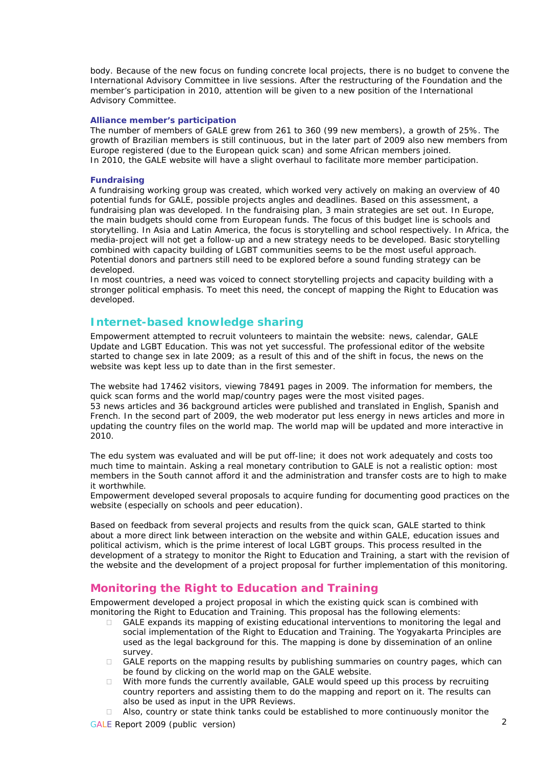body. Because of the new focus on funding concrete local projects, there is no budget to convene the International Advisory Committee in live sessions. After the restructuring of the Foundation and the member's participation in 2010, attention will be given to a new position of the International Advisory Committee.

#### **Alliance member's participation**

The number of members of GALE grew from 261 to 360 (99 new members), a growth of 25%. The growth of Brazilian members is still continuous, but in the later part of 2009 also new members from Europe registered (due to the European quick scan) and some African members joined. In 2010, the GALE website will have a slight overhaul to facilitate more member participation.

#### **Fundraising**

A fundraising working group was created, which worked very actively on making an overview of 40 potential funds for GALE, possible projects angles and deadlines. Based on this assessment, a fundraising plan was developed. In the fundraising plan, 3 main strategies are set out. In Europe, the main budgets should come from European funds. The focus of this budget line is schools and storytelling. In Asia and Latin America, the focus is storytelling and school respectively. In Africa, the media-project will not get a follow-up and a new strategy needs to be developed. Basic storytelling combined with capacity building of LGBT communities seems to be the most useful approach. Potential donors and partners still need to be explored before a sound funding strategy can be developed.

In most countries, a need was voiced to connect storytelling projects and capacity building with a stronger political emphasis. To meet this need, the concept of mapping the Right to Education was developed.

# **Internet-based knowledge sharing**

Empowerment attempted to recruit volunteers to maintain the website: news, calendar, GALE Update and LGBT Education. This was not yet successful. The professional editor of the website started to change sex in late 2009; as a result of this and of the shift in focus, the news on the website was kept less up to date than in the first semester.

The website had 17462 visitors, viewing 78491 pages in 2009. The information for members, the quick scan forms and the world map/country pages were the most visited pages. 53 news articles and 36 background articles were published and translated in English, Spanish and French. In the second part of 2009, the web moderator put less energy in news articles and more in updating the country files on the world map. The world map will be updated and more interactive in 2010.

The edu system was evaluated and will be put off-line; it does not work adequately and costs too much time to maintain. Asking a real monetary contribution to GALE is not a realistic option: most members in the South cannot afford it and the administration and transfer costs are to high to make it worthwhile.

Empowerment developed several proposals to acquire funding for documenting good practices on the website (especially on schools and peer education).

Based on feedback from several projects and results from the quick scan, GALE started to think about a more direct link between interaction on the website and within GALE, education issues and political activism, which is the prime interest of local LGBT groups. This process resulted in the development of a strategy to monitor the Right to Education and Training, a start with the revision of the website and the development of a project proposal for further implementation of this monitoring.

## **Monitoring the Right to Education and Training**

Empowerment developed a project proposal in which the existing quick scan is combined with monitoring the Right to Education and Training. This proposal has the following elements:

- $\Box$  GALE expands its mapping of existing educational interventions to monitoring the legal and social implementation of the Right to Education and Training. The Yogyakarta Principles are used as the legal background for this. The mapping is done by dissemination of an online survey.
- GALE reports on the mapping results by publishing summaries on country pages, which can be found by clicking on the world map on the GALE website.
- $\Box$  With more funds the currently available, GALE would speed up this process by recruiting country reporters and assisting them to do the mapping and report on it. The results can also be used as input in the UPR Reviews.
- □ Also, country or state think tanks could be established to more continuously monitor the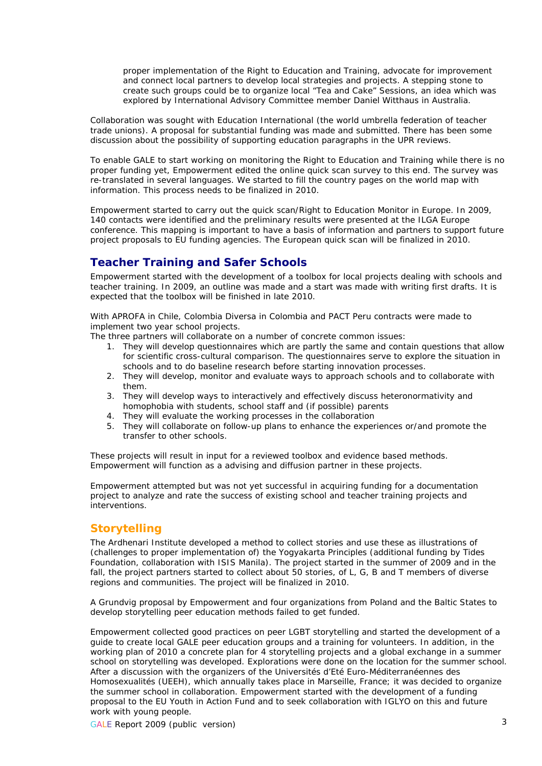proper implementation of the Right to Education and Training, advocate for improvement and connect local partners to develop local strategies and projects. A stepping stone to create such groups could be to organize local "Tea and Cake" Sessions, an idea which was explored by International Advisory Committee member Daniel Witthaus in Australia.

Collaboration was sought with Education International (the world umbrella federation of teacher trade unions). A proposal for substantial funding was made and submitted. There has been some discussion about the possibility of supporting education paragraphs in the UPR reviews.

To enable GALE to start working on monitoring the Right to Education and Training while there is no proper funding yet, Empowerment edited the online quick scan survey to this end. The survey was re-translated in several languages. We started to fill the country pages on the world map with information. This process needs to be finalized in 2010.

Empowerment started to carry out the quick scan/Right to Education Monitor in Europe. In 2009, 140 contacts were identified and the preliminary results were presented at the ILGA Europe conference. This mapping is important to have a basis of information and partners to support future project proposals to EU funding agencies. The European quick scan will be finalized in 2010.

# **Teacher Training and Safer Schools**

Empowerment started with the development of a toolbox for local projects dealing with schools and teacher training. In 2009, an outline was made and a start was made with writing first drafts. It is expected that the toolbox will be finished in late 2010.

With APROFA in Chile, Colombia Diversa in Colombia and PACT Peru contracts were made to implement two year school projects.

The three partners will collaborate on a number of concrete common issues:

- 1. They will develop questionnaires which are partly the same and contain questions that allow for scientific cross-cultural comparison. The questionnaires serve to explore the situation in schools and to do baseline research before starting innovation processes.
- 2. They will develop, monitor and evaluate ways to approach schools and to collaborate with them.
- 3. They will develop ways to interactively and effectively discuss heteronormativity and homophobia with students, school staff and (if possible) parents
- 4. They will evaluate the working processes in the collaboration
- 5. They will collaborate on follow-up plans to enhance the experiences or/and promote the transfer to other schools.

These projects will result in input for a reviewed toolbox and evidence based methods. Empowerment will function as a advising and diffusion partner in these projects.

Empowerment attempted but was not yet successful in acquiring funding for a documentation project to analyze and rate the success of existing school and teacher training projects and interventions.

## **Storytelling**

The Ardhenari Institute developed a method to collect stories and use these as illustrations of (challenges to proper implementation of) the Yogyakarta Principles (additional funding by Tides Foundation, collaboration with ISIS Manila). The project started in the summer of 2009 and in the fall, the project partners started to collect about 50 stories, of L, G, B and T members of diverse regions and communities. The project will be finalized in 2010.

A Grundvig proposal by Empowerment and four organizations from Poland and the Baltic States to develop storytelling peer education methods failed to get funded.

Empowerment collected good practices on peer LGBT storytelling and started the development of a guide to create local GALE peer education groups and a training for volunteers. In addition, in the working plan of 2010 a concrete plan for 4 storytelling projects and a global exchange in a summer school on storytelling was developed. Explorations were done on the location for the summer school. After a discussion with the organizers of the Universités d'Eté Euro-Méditerranéennes des Homosexualités (UEEH), which annually takes place in Marseille, France; it was decided to organize the summer school in collaboration. Empowerment started with the development of a funding proposal to the EU Youth in Action Fund and to seek collaboration with IGLYO on this and future work with young people.

GALE Report 2009 (public version) 3